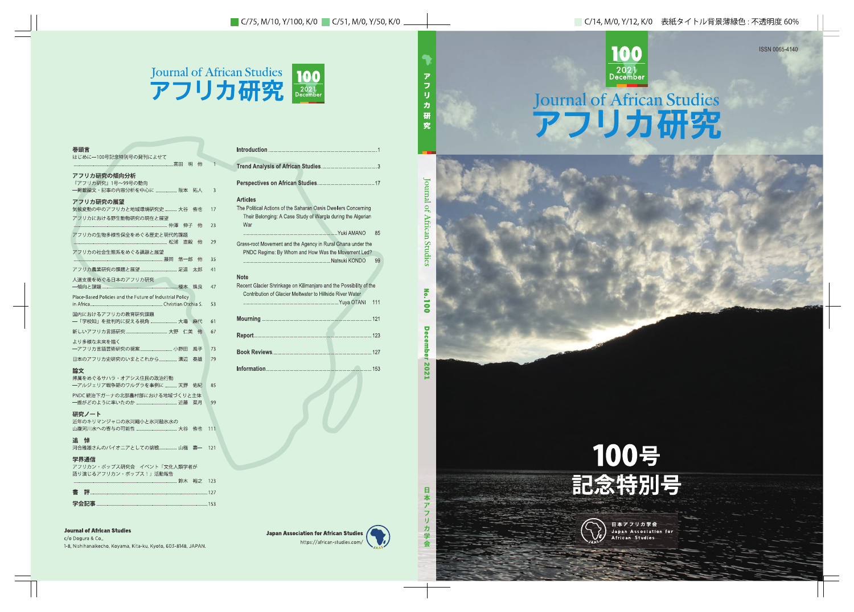## Journal of African Studies アフリカ研究



| <b>Articles</b><br>The Political Actions of the Saharan Oasis Dwellers Concerning<br>Their Belonging: A Case Study of Wargla during the Algerian<br>War |
|---------------------------------------------------------------------------------------------------------------------------------------------------------|
| 85                                                                                                                                                      |
| Grass-root Movement and the Agency in Rural Ghana under the<br>PNDC Regime: By Whom and How Was the Movement Led?                                       |
| 99                                                                                                                                                      |
| <b>Note</b><br>Recent Glacier Shrinkage on Kilimanjaro and the Possibility of the<br>Contribution of Glacier Meltwater to Hillside River Water          |
| 111                                                                                                                                                     |
|                                                                                                                                                         |
|                                                                                                                                                         |
|                                                                                                                                                         |
|                                                                                                                                                         |

## **Journal of African Studies**

c/o Dogura & Co., 1-8, Nishihanaikecho, Koyama, Kita-ku, Kyoto, 603-8148, JAPAN.